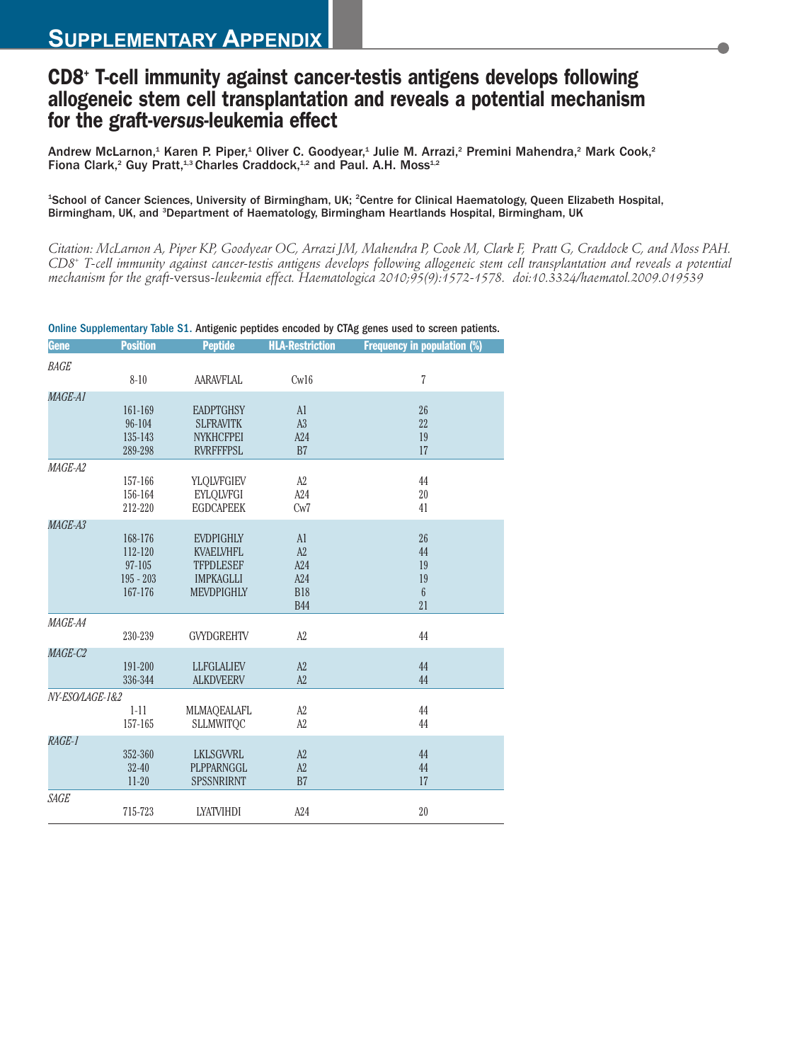## **CD8+ T-cell immunity against cancer-testis antigens develops following allogeneic stem cell transplantation and reveals a potential mechanism for the graft-***versus***-leukemia effect**

Andrew McLarnon,<sup>1</sup> Karen P. Piper,<sup>1</sup> Oliver C. Goodyear,<sup>1</sup> Julie M. Arrazi,<sup>2</sup> Premini Mahendra,<sup>2</sup> Mark Cook,<sup>2</sup> Fiona Clark,<sup>2</sup> Guy Pratt,<sup>1,3</sup> Charles Craddock,<sup>1,2</sup> and Paul. A.H. Moss<sup>1,2</sup>

## <sup>1</sup>School of Cancer Sciences, University of Birmingham, UK; <sup>2</sup>Centre for Clinical Haematology, Queen Elizabeth Hospital, Birmingham, UK, and <sup>3</sup>Department of Haematology, Birmingham Heartlands Hospital, Birmingham, UK

*Citation: McLarnon A, Piper KP, Goodyear OC, Arrazi JM, Mahendra P, Cook M, Clark F, Pratt G, Craddock C, and Moss PAH. CD8+ T-cell immunity against cancer-testis antigens develops following allogeneic stem cell transplantation and reveals a potential mechanism for the graft-*versus*-leukemia effect. Haematologica 2010;95(9):1572-1578. doi:10.3324/haematol.2009.019539*

| <b>Gene</b>     | <b>Position</b> | <b>Peptide</b>    | <b>HLA-Restriction</b> | <b>Frequency in population (%)</b> |
|-----------------|-----------------|-------------------|------------------------|------------------------------------|
| <b>BAGE</b>     |                 |                   |                        |                                    |
|                 | $8 - 10$        | <b>AARAVFLAL</b>  | Cw16                   | $\overline{7}$                     |
| MAGE-A1         |                 |                   |                        |                                    |
|                 | 161-169         | <b>EADPTGHSY</b>  | AI                     | 26                                 |
|                 | 96-104          | <b>SLFRAVITK</b>  | A <sub>3</sub>         | 22                                 |
|                 | 135-143         | <b>NYKHCFPEI</b>  | A24                    | 19                                 |
|                 | 289-298         | <b>RVRFFFPSL</b>  | B <sub>7</sub>         | 17                                 |
| MAGE-A2         |                 |                   |                        |                                    |
|                 | 157-166         | YLQLVFGIEV        | A2                     | 44                                 |
|                 | 156-164         | <b>EYLQLVFGI</b>  | A24                    | 20                                 |
|                 | 212-220         | <b>EGDCAPEEK</b>  | Cw7                    | 41                                 |
| MAGE-A3         |                 |                   |                        |                                    |
|                 | 168-176         | <b>EVDPIGHLY</b>  | AI                     | 26                                 |
|                 | 112-120         | <b>KVAELVHFL</b>  | A2                     | 44                                 |
|                 | $97 - 105$      | <b>TFPDLESEF</b>  | A24                    | 19                                 |
|                 | $195 - 203$     | <b>IMPKAGLLI</b>  | A24                    | 19                                 |
|                 | 167-176         | <b>MEVDPIGHLY</b> | <b>B18</b>             | $6\overline{6}$                    |
|                 |                 |                   | <b>B44</b>             | 21                                 |
| MAGE-A4         |                 |                   |                        |                                    |
|                 | 230-239         | <b>GVYDGREHTV</b> | A2                     | 44                                 |
| MAGE-C2         |                 |                   |                        |                                    |
|                 | 191-200         | <b>LLFGLALIEV</b> | A2                     | 44                                 |
|                 | 336-344         | <b>ALKDVEERV</b>  | A2                     | 44                                 |
| NY-ESO/LAGE-1&2 |                 |                   |                        |                                    |
|                 | $1 - 11$        | MLMAQEALAFL       | A2                     | 44                                 |
|                 | 157-165         | <b>SLLMWITOC</b>  | A2                     | 44                                 |
| RAGE-1          |                 |                   |                        |                                    |
|                 | 352-360         | <b>LKLSGWRL</b>   | A2                     | 44                                 |
|                 | $32 - 40$       | PLPPARNGGL        | A2                     | 44                                 |
|                 | $11 - 20$       | <b>SPSSNRIRNT</b> | B7                     | 17                                 |
| SAGE            |                 |                   |                        |                                    |
|                 | 715-723         | <b>LYATVIHDI</b>  | A24                    | 20                                 |

Online Supplementary Table S1. Antigenic peptides encoded by CTAg genes used to screen patients.